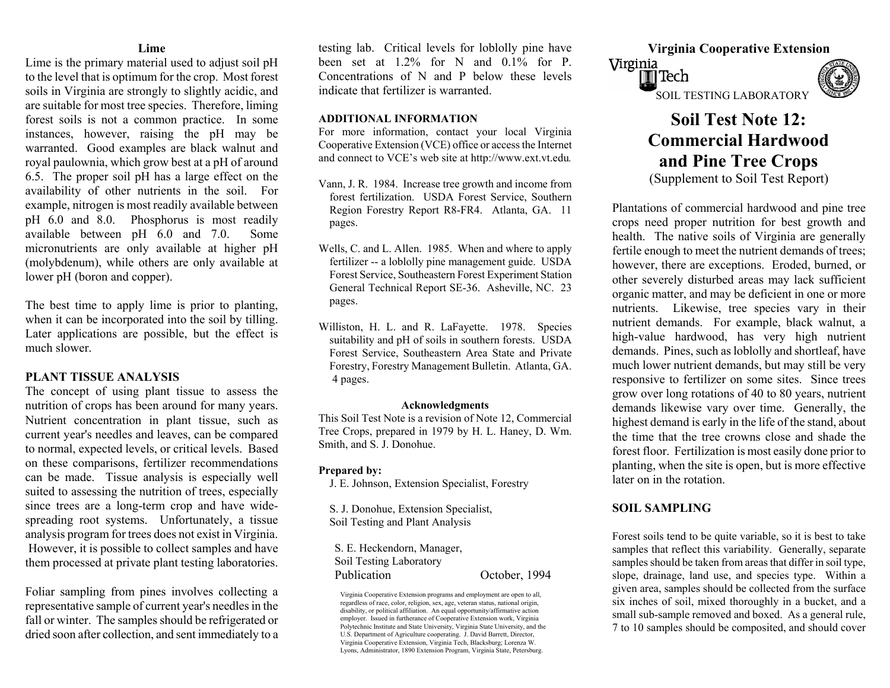### **Lime**

Lime is the primary material used to adjust soil pH to the level that is optimum for the crop. Most forest soils in Virginia are strongly to slightly acidic, and are suitable for m ost tree species. Therefore, liming forest soils is not a com mon practice. In some instances, however, raising the pH may be warranted. Good examples are black walnut and royal paulownia, which grow best at a pH of around 6.5. The proper soil pH has a large effect on the availability of other nutrients in the soil. For example, nitrogen is m ost readily available between pH 6.0 and 8.0. Phosphorus is m ost readily available between pH 6.0 and 7.0. Some micronutrients are only available at higher pH (molybdenum), while others are only available at lower pH (boron and copper).

The best time to apply lime is prior to planting, when it can be incorporated into the soil by tilling. Later applications are possible, but the effect is much slower.

### **PLANT TISSUE ANALYSIS**

The concept of using plant tissue to assess the nutrition of crops has been around for many years. Nutrient concentration in plant tissue, such as current year's needles and leaves, can be compared to normal, expected levels, or critical levels. Based on these comparisons, fertilizer recom mendations can be made. Tissue analysis is especially well suited to assessing the nutrition of trees, especially since trees are a long-term crop and have widespreading root systems. Unfortunately, a tissue analysis program for trees does not exist in Virginia. However, it is possible to collect samples and have them processed at private plant testing laboratories.

Foliar sampling from pines involves collecting a representative sample of c urrent year's needles in the fall or winter. The samples should be refrigerated ordried soon after collection, and sent im mediately to a

 **Virginia Cooperative Extension** testing lab. Critical levels for loblolly pine have been set at 1.2% for N and 0.1% for P. Concentrations of N and P below these levels indicate that fertilizer is warranted. SOIL TESTING LABORATORY

For more information, contact your local Virginia Cooperative Extension (VCE) office or access the Internet and connect to VCE's web site at http://www.ext.vt.edu*.*

- forest fertilization. USDA Forest Service, Southern Region Forestry Report R8-FR4. Atlanta, GA. 11 pages.
- Wells, C. and L. Allen. 1985. W hen and where to apply fertilizer -- a loblolly pine management guide. USDA Forest Service, Southeastern Forest Experiment Station General Technical Report SE-36. Asheville, NC. 23 pages.
- Williston, H. L. and R. LaFayette. 1978. Species suitability and pH of soils in southern forests. USDA Forest Service, Southeastern Area State and Private Forestry, Forestry Management Bulletin. Atlanta, GA. 4 pages.

### **Acknowledgments**

This Soil Test Note is a revision of Note 12, Com mercial Tree Crops, prepared in 1979 by H. L. Haney, D. W m. Smith, and S. J. Donohue.

### **Prepared by:**

J. E. Johnson, Extension Specialist, Forestry

S. J. Donohue, Extension Specialist, **SOIL SAMPLING**  Soil Testing and Plant Analysis

S. E. Heckendorn, Manager, Soil Testing Laboratory Publication October, 1994

# Virginia  $\overline{\mathbb{I}}$  Tech

## **ADDITIONAL INFORMATION Soil Test Note 12: Commercial Hardwood and Pine Tree Crops**  (Supplement to Soil Test Report) Vann, J. R. 1984. Increase tree growth and income from

Plantations of commercial hardwood and pine tree crops need proper nutrition for best growth and health. The native soils of Virginia are generally fertile enough to meet the nutrient demands of trees; however, there are exceptions. Eroded, burned, or other severely disturbed areas may lack sufficient organic matter, and may be deficient in one or more nutrients. Likewise, tree species vary in their nutrient demands. For example, black walnut, a high-value hardwood, has very high nutrient demands. Pines, such as loblolly and shortleaf, have much lower nutrient demands, but may still be very responsive to fertilizer on some sites. Since trees grow over long rotations of 40 to 80 years, nutrient demands likewise vary over time. Generally, the hig hest deman d is early in the life of the stand, about the time that the tree crowns close and shade the forest floor. Fertilization is most easily done prior to planting, when the site is open, but is more effective later on in the rotation.

Forest soils tend to be quite variable, so it is best to take samples that reflect this variability. Generally, separate samples should be taken from areas that differ in soil type, slope, drainage, land use, and species type. Within a given area, samples should be collected from the surface six inches of soil, mixed thoroughly in a bucket, and a small sub-sample removed and boxed. As a general rule, 7 to 10 samples should be composited, and should cover

Virginia Cooperative Extension programs and employment are open to all, regardless of race, color, religion, sex, age, veteran status, national origin, disability, or political affiliation. An equal opportunity/affirmative action employer. Issued in furtherance of Cooperative Extension work, Virginia Polytechnic Institute and State University, Virginia State University, and the U.S. Department of Agriculture cooperating. J. David Barrett, Director, Virginia Cooperative Extension, Virginia Tech, Blacksburg; Lorenza W. Lyons, Administrator, 1890 Extension Program, Virginia State, Petersburg.